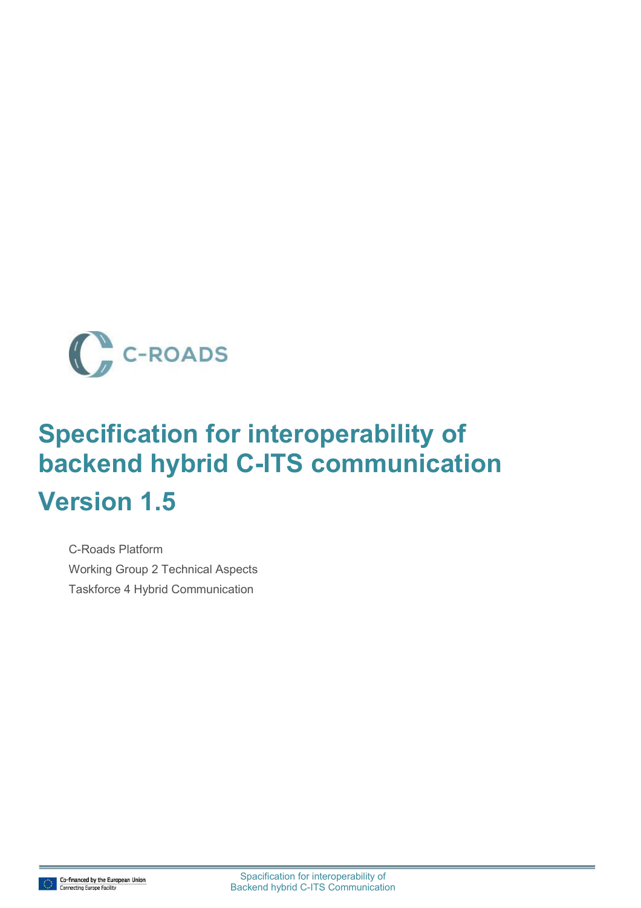

# **Specification for interoperability of backend hybrid C-ITS communication Version 1.5**

C-Roads Platform Working Group 2 Technical Aspects Taskforce 4 Hybrid Communication

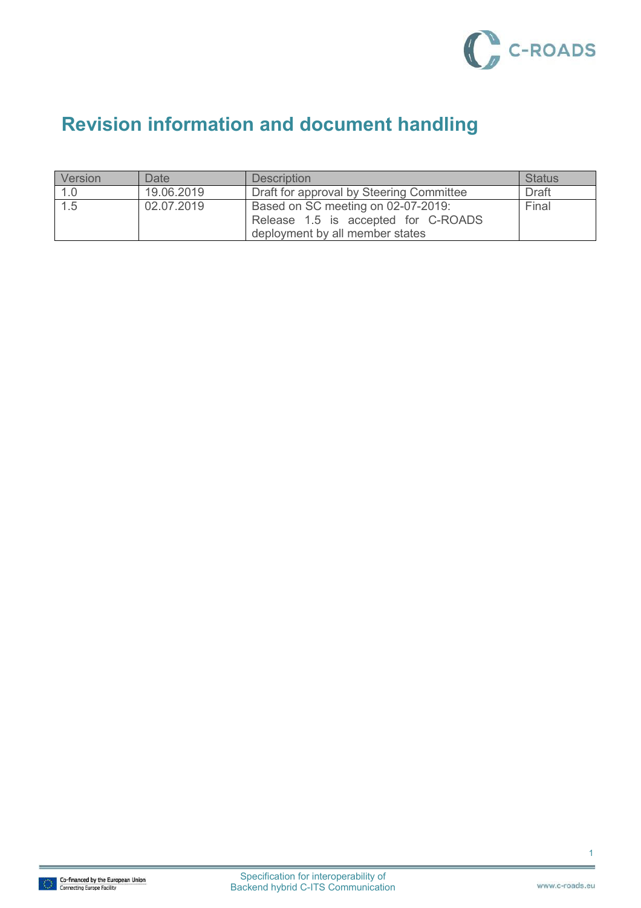

## **Revision information and document handling**

| Version | Date       | <b>Description</b>                                                                                           | <b>Status</b> |
|---------|------------|--------------------------------------------------------------------------------------------------------------|---------------|
| 1.0     | 19.06.2019 | Draft for approval by Steering Committee                                                                     | <b>Draft</b>  |
| 1.5     | 02.07.2019 | Based on SC meeting on 02-07-2019:<br>Release 1.5 is accepted for C-ROADS<br>deployment by all member states | Final         |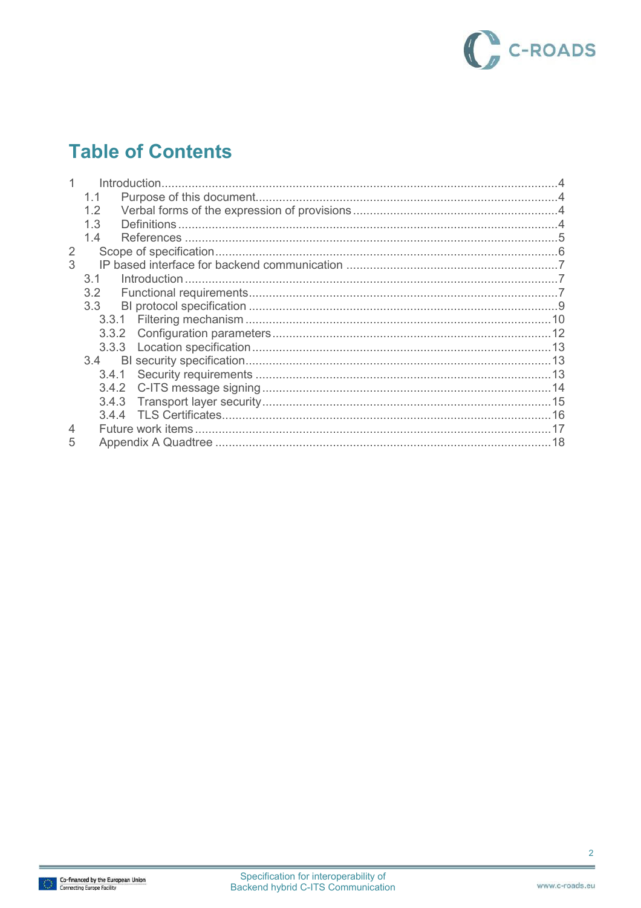

## **Table of Contents**

|   | 1.2   |  |
|---|-------|--|
|   | 13    |  |
|   | 14    |  |
| 2 |       |  |
| 3 |       |  |
|   | 3.1   |  |
|   | 3.2   |  |
|   | 3.3   |  |
|   |       |  |
|   | 3.3.2 |  |
|   |       |  |
|   | 3.4   |  |
|   | 3.4.1 |  |
|   | 3.4.2 |  |
|   | 3.4.3 |  |
|   | 3.4.4 |  |
| 4 |       |  |
| 5 |       |  |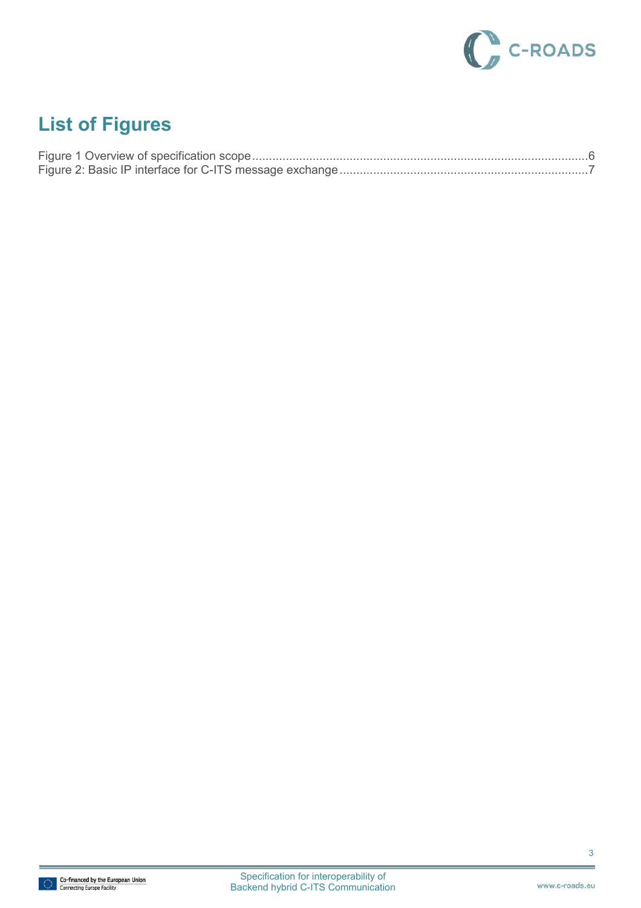

## **List of Figures**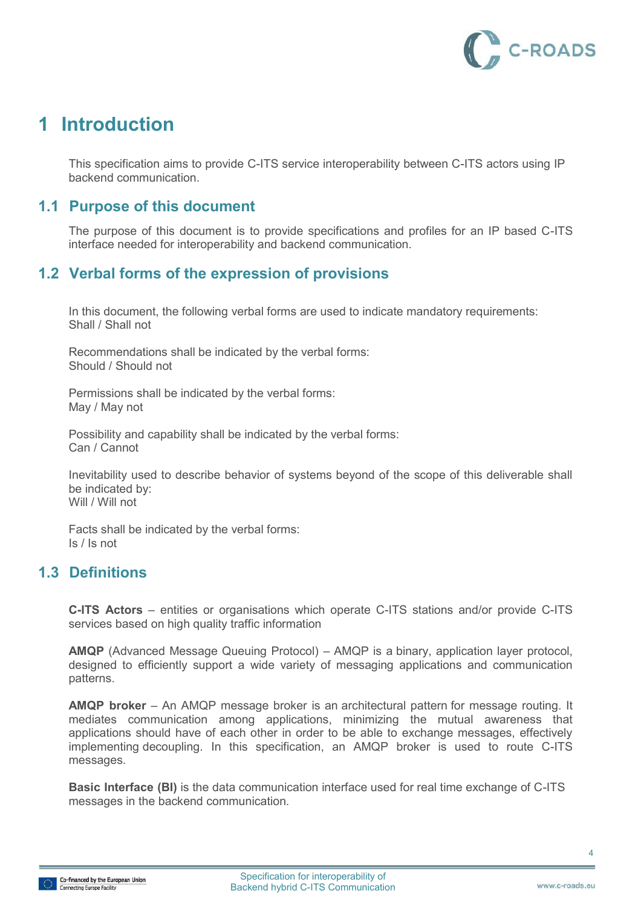

## **1 Introduction**

This specification aims to provide C-ITS service interoperability between C-ITS actors using IP backend communication.

### **1.1 Purpose of this document**

The purpose of this document is to provide specifications and profiles for an IP based C-ITS interface needed for interoperability and backend communication.

### **1.2 Verbal forms of the expression of provisions**

In this document, the following verbal forms are used to indicate mandatory requirements: Shall / Shall not

Recommendations shall be indicated by the verbal forms: Should / Should not

Permissions shall be indicated by the verbal forms: May / May not

Possibility and capability shall be indicated by the verbal forms: Can / Cannot

Inevitability used to describe behavior of systems beyond of the scope of this deliverable shall be indicated by: Will / Will not

Facts shall be indicated by the verbal forms: Is / Is not

### **1.3 Definitions**

**C-ITS Actors** – entities or organisations which operate C-ITS stations and/or provide C-ITS services based on high quality traffic information

**AMQP** (Advanced Message Queuing Protocol) – AMQP is a [binary,](https://en.wikipedia.org/wiki/Binary_protocol) application layer protocol, designed to efficiently support a wide variety of messaging applications and communication patterns.

**AMQP broker** – An AMQP message broker is an architectural pattern for message routing. It mediates communication among applications, minimizing the mutual awareness that applications should have of each other in order to be able to exchange messages, effectively implementing decoupling. In this specification, an AMQP broker is used to route C-ITS messages.

**Basic Interface (BI)** is the data communication interface used for real time exchange of C-ITS messages in the backend communication.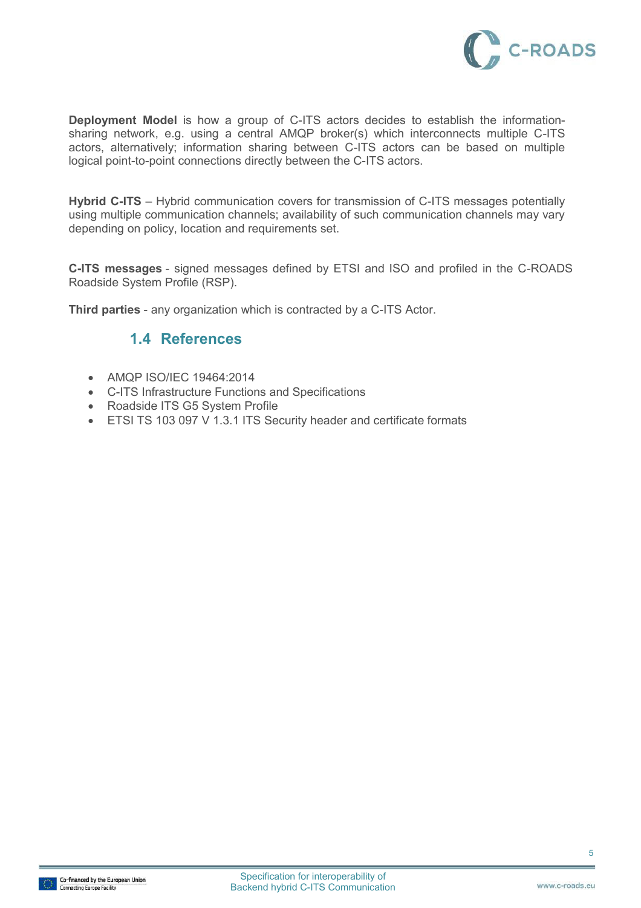

**Deployment Model** is how a group of C-ITS actors decides to establish the informationsharing network, e.g. using a central AMQP broker(s) which interconnects multiple C-ITS actors, alternatively; information sharing between C-ITS actors can be based on multiple logical point-to-point connections directly between the C-ITS actors.

**Hybrid C-ITS** – Hybrid communication covers for transmission of C-ITS messages potentially using multiple communication channels; availability of such communication channels may vary depending on policy, location and requirements set.

**C-ITS messages** - signed messages defined by ETSI and ISO and profiled in the C-ROADS Roadside System Profile (RSP).

**Third parties** - any organization which is contracted by a C-ITS Actor.

### **1.4 References**

- AMQP ISO/IEC 19464:2014
- C-ITS Infrastructure Functions and Specifications
- Roadside ITS G5 System Profile
- ETSI TS 103 097 V 1.3.1 ITS Security header and certificate formats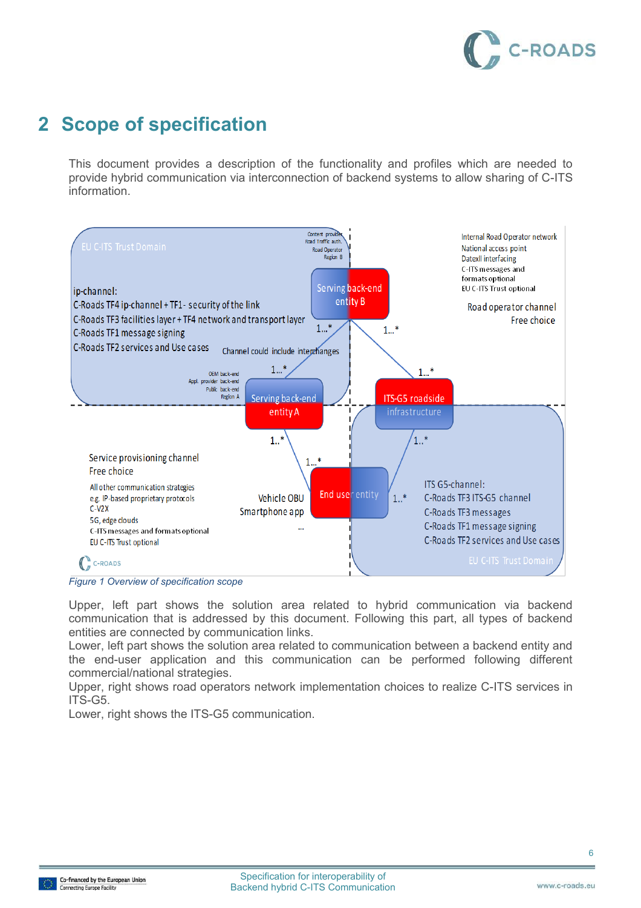

## **2 Scope of specification**

This document provides a description of the functionality and profiles which are needed to provide hybrid communication via interconnection of backend systems to allow sharing of C-ITS information.



#### <span id="page-6-0"></span>*Figure 1 Overview of specification scope*

Upper, left part shows the solution area related to hybrid communication via backend communication that is addressed by this document. Following this part, all types of backend entities are connected by communication links.

Lower, left part shows the solution area related to communication between a backend entity and the end-user application and this communication can be performed following different commercial/national strategies.

Upper, right shows road operators network implementation choices to realize C-ITS services in ITS-G5.

Lower, right shows the ITS-G5 communication.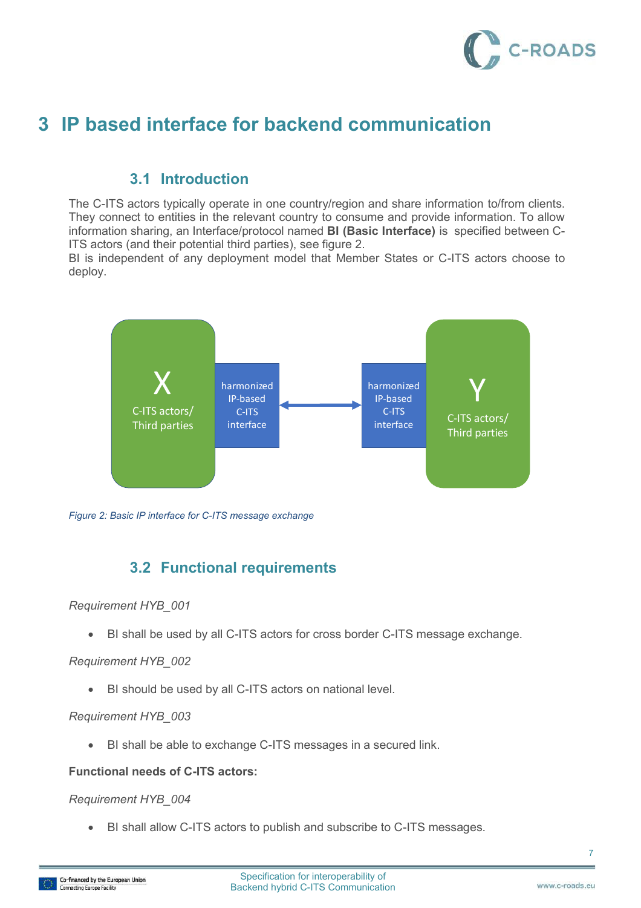

## **3 IP based interface for backend communication**

### **3.1 Introduction**

The C-ITS actors typically operate in one country/region and share information to/from clients. They connect to entities in the relevant country to consume and provide information. To allow information sharing, an Interface/protocol named **BI (Basic Interface)** is specified between C-ITS actors (and their potential third parties), see figure 2.

BI is independent of any deployment model that Member States or C-ITS actors choose to deploy.



<span id="page-7-0"></span>*Figure 2: Basic IP interface for C-ITS message exchange* 

## **3.2 Functional requirements**

#### *Requirement HYB\_001*

BI shall be used by all C-ITS actors for cross border C-ITS message exchange.

#### *Requirement HYB\_002*

BI should be used by all C-ITS actors on national level.

#### *Requirement HYB\_003*

BI shall be able to exchange C-ITS messages in a secured link.

#### **Functional needs of C-ITS actors:**

#### *Requirement HYB\_004*

BI shall allow C-ITS actors to publish and subscribe to C-ITS messages.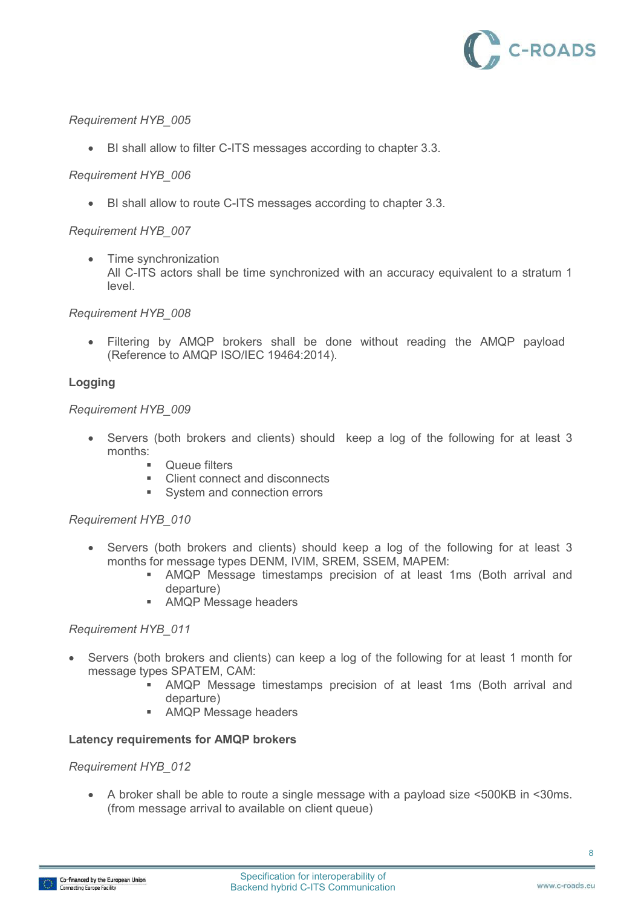

BI shall allow to filter C-ITS messages according to chapter 3.3.

#### *Requirement HYB\_006*

BI shall allow to route C-ITS messages according to chapter 3.3.

#### *Requirement HYB\_007*

• Time synchronization All C-ITS actors shall be time synchronized with an accuracy equivalent to a stratum 1 level.

#### *Requirement HYB\_008*

 Filtering by AMQP brokers shall be done without reading the AMQP payload (Reference to AMQP ISO/IEC 19464:2014).

#### **Logging**

#### *Requirement HYB\_009*

- Servers (both brokers and clients) should keep a log of the following for at least 3 months:
	- **•** Queue filters
	- Client connect and disconnects
	- System and connection errors

#### *Requirement HYB\_010*

- Servers (both brokers and clients) should keep a log of the following for at least 3 months for message types DENM, IVIM, SREM, SSEM, MAPEM:
	- AMQP Message timestamps precision of at least 1ms (Both arrival and departure)
	- **AMQP Message headers**

#### *Requirement HYB\_011*

- Servers (both brokers and clients) can keep a log of the following for at least 1 month for message types SPATEM, CAM:
	- AMQP Message timestamps precision of at least 1ms (Both arrival and departure)
	- **AMQP Message headers**

#### **Latency requirements for AMQP brokers**

#### *Requirement HYB\_012*

 A broker shall be able to route a single message with a payload size <500KB in <30ms. (from message arrival to available on client queue)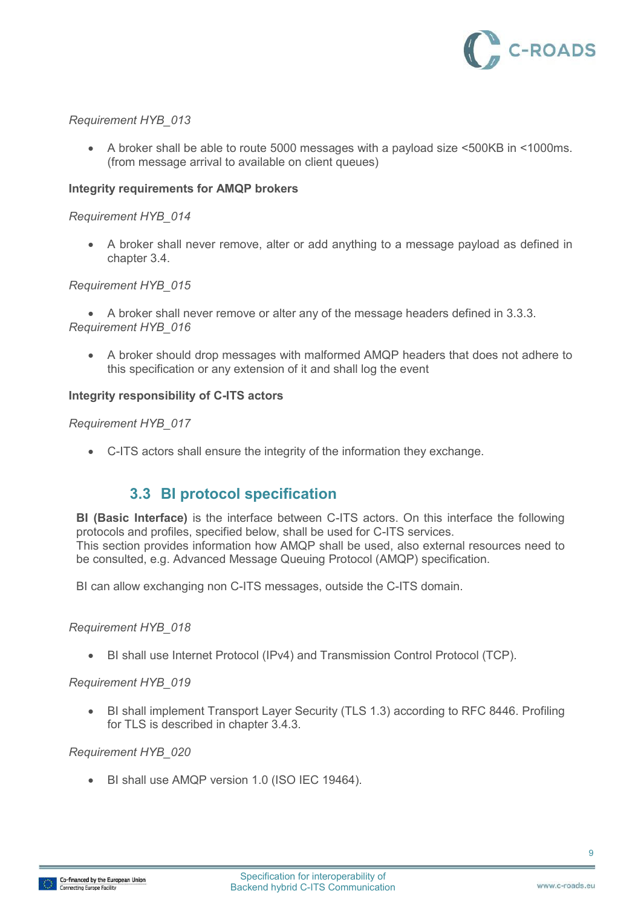

 A broker shall be able to route 5000 messages with a payload size <500KB in <1000ms. (from message arrival to available on client queues)

#### **Integrity requirements for AMQP brokers**

#### *Requirement HYB\_014*

 A broker shall never remove, alter or add anything to a message payload as defined in chapter 3.4.

#### *Requirement HYB\_015*

 A broker shall never remove or alter any of the message headers defined in 3.3.3. *Requirement HYB\_016* 

 A broker should drop messages with malformed AMQP headers that does not adhere to this specification or any extension of it and shall log the event

#### **Integrity responsibility of C-ITS actors**

#### *Requirement HYB\_017*

C-ITS actors shall ensure the integrity of the information they exchange.

### **3.3 BI protocol specification**

**BI (Basic Interface)** is the interface between C-ITS actors. On this interface the following protocols and profiles, specified below, shall be used for C-ITS services. This section provides information how AMQP shall be used, also external resources need to be consulted, e.g. Advanced Message Queuing Protocol (AMQP) specification.

BI can allow exchanging non C-ITS messages, outside the C-ITS domain.

#### *Requirement HYB\_018*

BI shall use Internet Protocol (IPv4) and Transmission Control Protocol (TCP).

#### *Requirement HYB\_019*

 BI shall implement Transport Layer Security (TLS 1.3) according to RFC 8446. Profiling for TLS is described in chapter 3.4.3.

#### *Requirement HYB\_020*

BI shall use AMQP version 1.0 (ISO IEC 19464).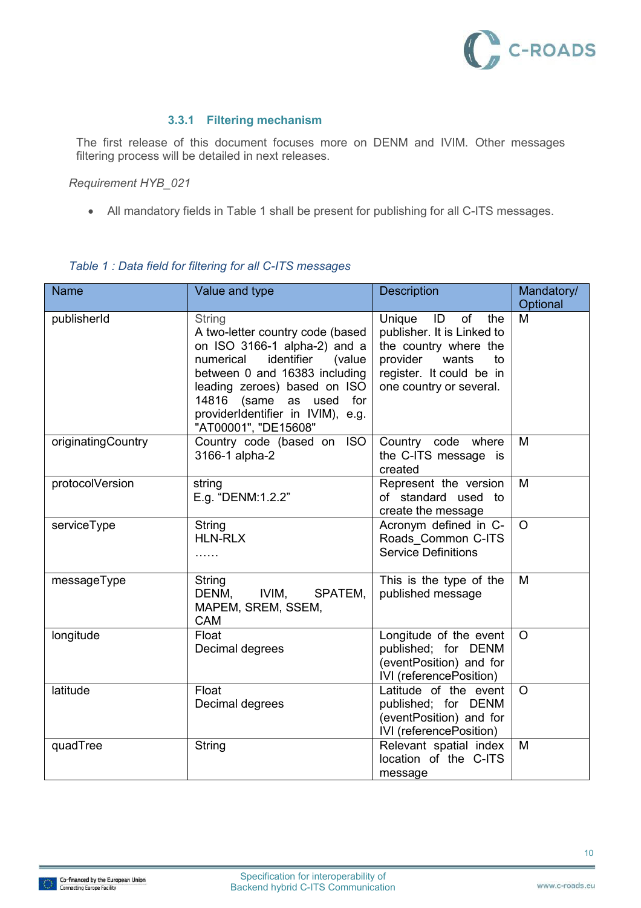

#### **3.3.1 Filtering mechanism**

The first release of this document focuses more on DENM and IVIM. Other messages filtering process will be detailed in next releases.

*Requirement HYB\_021* 

All mandatory fields in [Table 1](#page-10-0) shall be present for publishing for all C-ITS messages.

<span id="page-10-0"></span>

| <b>Name</b>        | Value and type                                                                                                                                                                                                                                                           | <b>Description</b>                                                                                                                                                             | Mandatory/<br>Optional |
|--------------------|--------------------------------------------------------------------------------------------------------------------------------------------------------------------------------------------------------------------------------------------------------------------------|--------------------------------------------------------------------------------------------------------------------------------------------------------------------------------|------------------------|
| publisherId        | String<br>A two-letter country code (based<br>on ISO 3166-1 alpha-2) and a<br>identifier<br>numerical<br>(value<br>between 0 and 16383 including<br>leading zeroes) based on ISO<br>14816 (same as used for<br>providerIdentifier in IVIM), e.g.<br>"AT00001", "DE15608" | Unique<br>$\blacksquare$<br>of<br>the<br>publisher. It is Linked to<br>the country where the<br>wants<br>provider<br>to<br>register. It could be in<br>one country or several. | M                      |
| originatingCountry | Country code (based on ISO<br>3166-1 alpha-2                                                                                                                                                                                                                             | Country code where<br>the C-ITS message is<br>created                                                                                                                          | M                      |
| protocolVersion    | string<br>E.g. "DENM:1.2.2"                                                                                                                                                                                                                                              | Represent the version<br>of standard used to<br>create the message                                                                                                             | M                      |
| serviceType        | <b>String</b><br><b>HLN-RLX</b><br>.                                                                                                                                                                                                                                     | Acronym defined in C-<br>Roads Common C-ITS<br><b>Service Definitions</b>                                                                                                      | $\Omega$               |
| messageType        | String<br>DENM,<br>IVIM,<br>SPATEM,<br>MAPEM, SREM, SSEM,<br>CAM                                                                                                                                                                                                         | This is the type of the<br>published message                                                                                                                                   | M                      |
| longitude          | Float<br>Decimal degrees                                                                                                                                                                                                                                                 | Longitude of the event<br>published; for DENM<br>(eventPosition) and for<br>IVI (referencePosition)                                                                            | $\circ$                |
| latitude           | Float<br>Decimal degrees                                                                                                                                                                                                                                                 | Latitude of the event<br>published; for DENM<br>(eventPosition) and for<br>IVI (referencePosition)                                                                             | $\circ$                |
| quadTree           | String                                                                                                                                                                                                                                                                   | Relevant spatial index<br>location of the C-ITS<br>message                                                                                                                     | M                      |

### *Table 1 : Data field for filtering for all C-ITS messages*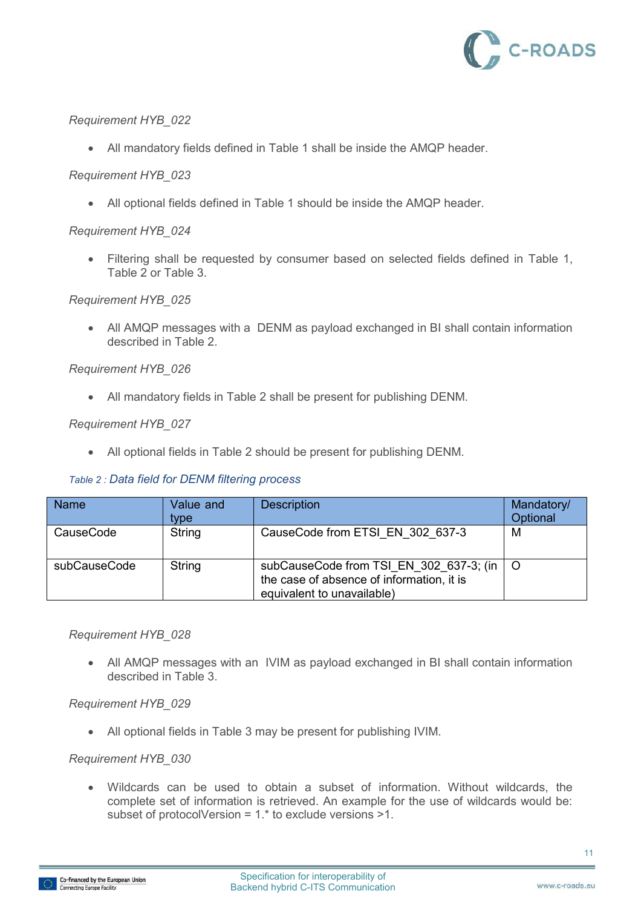

All mandatory fields defined in [Table 1](#page-10-0) shall be inside the AMQP header.

#### *Requirement HYB\_023*

All optional fields defined in [Table 1](#page-10-0) should be inside the AMQP header.

#### *Requirement HYB\_024*

 Filtering shall be requested by consumer based on selected fields defined in [Table 1,](#page-10-0) [Table 2](#page-11-0) or [Table 3.](#page-12-0)

#### *Requirement HYB\_025*

 All AMQP messages with a DENM as payload exchanged in BI shall contain information described in [Table 2.](#page-11-0)

#### *Requirement HYB\_026*

All mandatory fields in [Table 2](#page-11-0) shall be present for publishing DENM.

#### <span id="page-11-0"></span>*Requirement HYB\_027*

All optional fields in [Table 2](#page-11-0) should be present for publishing DENM.

#### *Table 2 : Data field for DENM filtering process*

| <b>Name</b>  | Value and<br>tvpe | <b>Description</b>                                                                                                   | Mandatory/<br>Optional |
|--------------|-------------------|----------------------------------------------------------------------------------------------------------------------|------------------------|
| CauseCode    | String            | CauseCode from ETSI EN 302 637-3                                                                                     | М                      |
| subCauseCode | String            | subCauseCode from TSI_EN_302_637-3; (in  <br>the case of absence of information, it is<br>equivalent to unavailable) |                        |

#### *Requirement HYB\_028*

 All AMQP messages with an IVIM as payload exchanged in BI shall contain information described in [Table 3.](#page-12-0)

#### *Requirement HYB\_029*

All optional fields in [Table 3](#page-12-0) may be present for publishing IVIM.

#### *Requirement HYB\_030*

 Wildcards can be used to obtain a subset of information. Without wildcards, the complete set of information is retrieved. An example for the use of wildcards would be: subset of protocolVersion = 1.\* to exclude versions >1.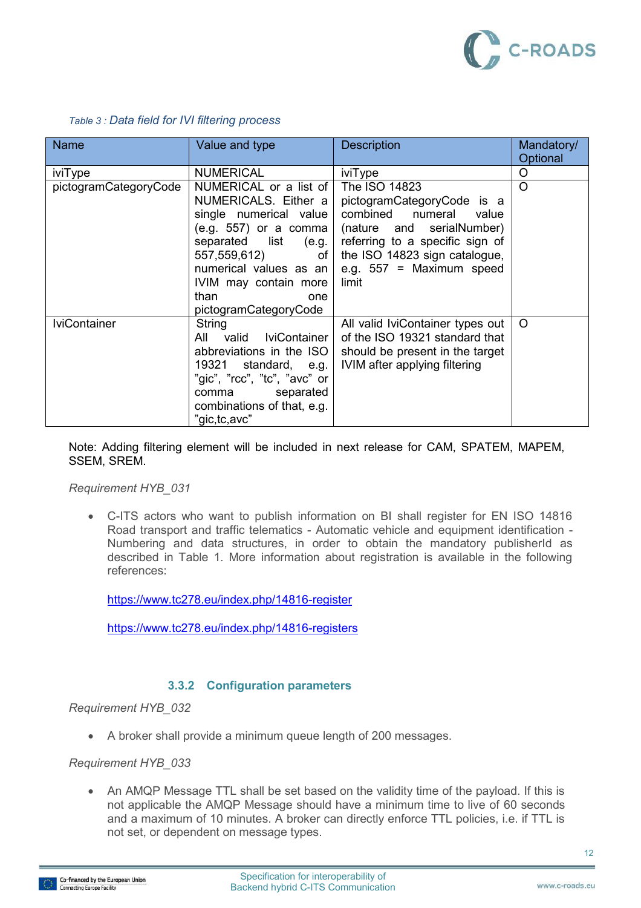

<span id="page-12-0"></span>

| <b>Name</b>           | Value and type                                                                                                                                                                                                                          | <b>Description</b>                                                                                                                                                                                               | Mandatory/<br>Optional |  |
|-----------------------|-----------------------------------------------------------------------------------------------------------------------------------------------------------------------------------------------------------------------------------------|------------------------------------------------------------------------------------------------------------------------------------------------------------------------------------------------------------------|------------------------|--|
| iviType               | <b>NUMERICAL</b>                                                                                                                                                                                                                        | iviType                                                                                                                                                                                                          | O                      |  |
| pictogramCategoryCode | NUMERICAL or a list of<br>NUMERICALS. Either a<br>single numerical value<br>(e.g. 557) or a comma<br>separated list (e.g.<br>557,559,612) of<br>numerical values as an<br>IVIM may contain more<br>than<br>one<br>pictogramCategoryCode | The ISO 14823<br>pictogramCategoryCode is a<br>combined numeral<br>value<br>(nature and serialNumber)<br>referring to a specific sign of<br>the ISO 14823 sign catalogue,<br>e.g. $557$ = Maximum speed<br>limit | O                      |  |
| <b>IviContainer</b>   | <b>String</b><br>valid IviContainer<br>All<br>abbreviations in the ISO<br>19321 standard, e.g.<br>"gic", "rcc", "tc", "avc" or<br>comma separated<br>combinations of that, e.g.<br>"gic,tc,avc"                                         | All valid IviContainer types out<br>of the ISO 19321 standard that<br>should be present in the target<br>IVIM after applying filtering                                                                           | $\Omega$               |  |

#### *Table 3 : Data field for IVI filtering process*

Note: Adding filtering element will be included in next release for CAM, SPATEM, MAPEM, SSEM, SREM.

*Requirement HYB\_031* 

 C-ITS actors who want to publish information on BI shall register for EN ISO 14816 Road transport and traffic telematics - Automatic vehicle and equipment identification - Numbering and data structures, in order to obtain the mandatory publisherId as described in Table 1. More information about registration is available in the following references:

<https://www.tc278.eu/index.php/14816-register>

<https://www.tc278.eu/index.php/14816-registers>

#### **3.3.2 Configuration parameters**

*Requirement HYB\_032* 

A broker shall provide a minimum queue length of 200 messages.

#### *Requirement HYB\_033*

• An AMQP Message TTL shall be set based on the validity time of the payload. If this is not applicable the AMQP Message should have a minimum time to live of 60 seconds and a maximum of 10 minutes. A broker can directly enforce TTL policies, i.e. if TTL is not set, or dependent on message types.

12

www.c-roads.eu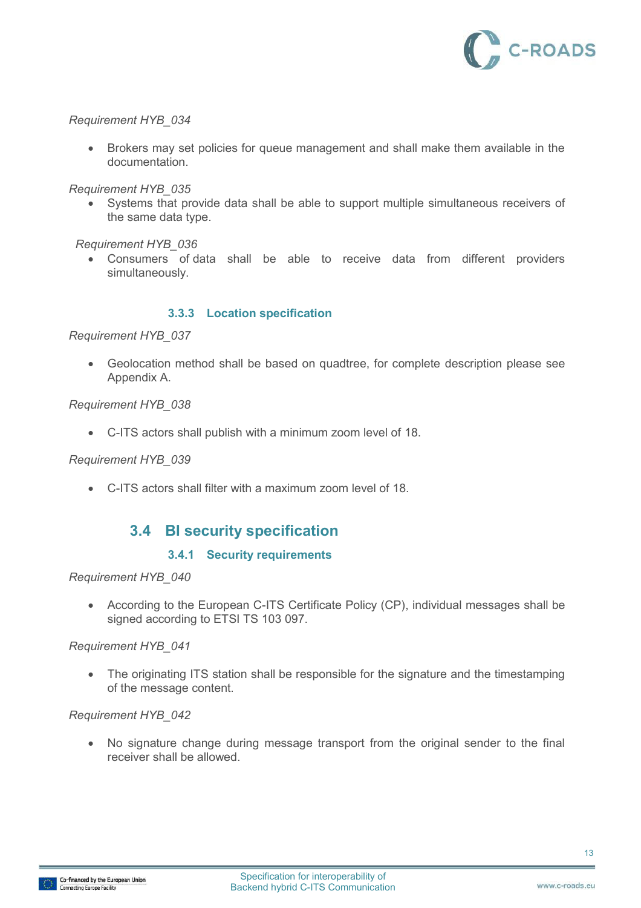

 Brokers may set policies for queue management and shall make them available in the documentation.

*Requirement HYB\_035* 

 Systems that provide data shall be able to support multiple simultaneous receivers of the same data type.

 *Requirement HYB\_036* 

 Consumers of data shall be able to receive data from different providers simultaneously.

#### **3.3.3 Location specification**

#### *Requirement HYB\_037*

 Geolocation method shall be based on quadtree, for complete description please see Appendix A.

#### *Requirement HYB\_038*

C-ITS actors shall publish with a minimum zoom level of 18.

#### *Requirement HYB\_039*

C-ITS actors shall filter with a maximum zoom level of 18.

### **3.4 BI security specification**

#### **3.4.1 Security requirements**

#### *Requirement HYB\_040*

 According to the European C-ITS Certificate Policy (CP), individual messages shall be signed according to ETSI TS 103 097.

#### *Requirement HYB\_041*

• The originating ITS station shall be responsible for the signature and the timestamping of the message content.

#### *Requirement HYB\_042*

 No signature change during message transport from the original sender to the final receiver shall be allowed.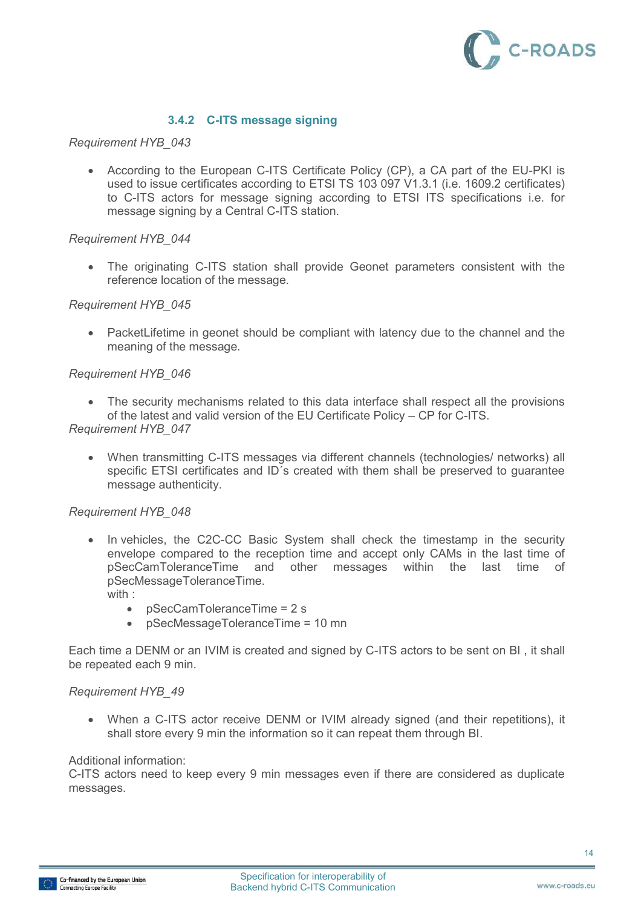

#### **3.4.2 C-ITS message signing**

#### *Requirement HYB\_043*

 According to the European C-ITS Certificate Policy (CP), a CA part of the EU-PKI is used to issue certificates according to ETSI TS 103 097 V1.3.1 (i.e. 1609.2 certificates) to C-ITS actors for message signing according to ETSI ITS specifications i.e. for message signing by a Central C-ITS station.

#### *Requirement HYB\_044*

 The originating C-ITS station shall provide Geonet parameters consistent with the reference location of the message.

#### *Requirement HYB\_045*

 PacketLifetime in geonet should be compliant with latency due to the channel and the meaning of the message.

#### *Requirement HYB\_046*

• The security mechanisms related to this data interface shall respect all the provisions of the latest and valid version of the EU Certificate Policy – CP for C-ITS.

#### *Requirement HYB\_047*

 When transmitting C-ITS messages via different channels (technologies/ networks) all specific ETSI certificates and ID's created with them shall be preserved to quarantee message authenticity.

#### *Requirement HYB\_048*

- In vehicles, the C2C-CC Basic System shall check the timestamp in the security envelope compared to the reception time and accept only CAMs in the last time of pSecCamToleranceTime and other messages within the last time of pSecMessageToleranceTime. with :
	- pSecCamToleranceTime = 2 s
	- pSecMessageToleranceTime = 10 mn

Each time a DENM or an IVIM is created and signed by C-ITS actors to be sent on BI , it shall be repeated each 9 min.

#### *Requirement HYB\_49*

 When a C-ITS actor receive DENM or IVIM already signed (and their repetitions), it shall store every 9 min the information so it can repeat them through BI.

#### Additional information:

C-ITS actors need to keep every 9 min messages even if there are considered as duplicate messages.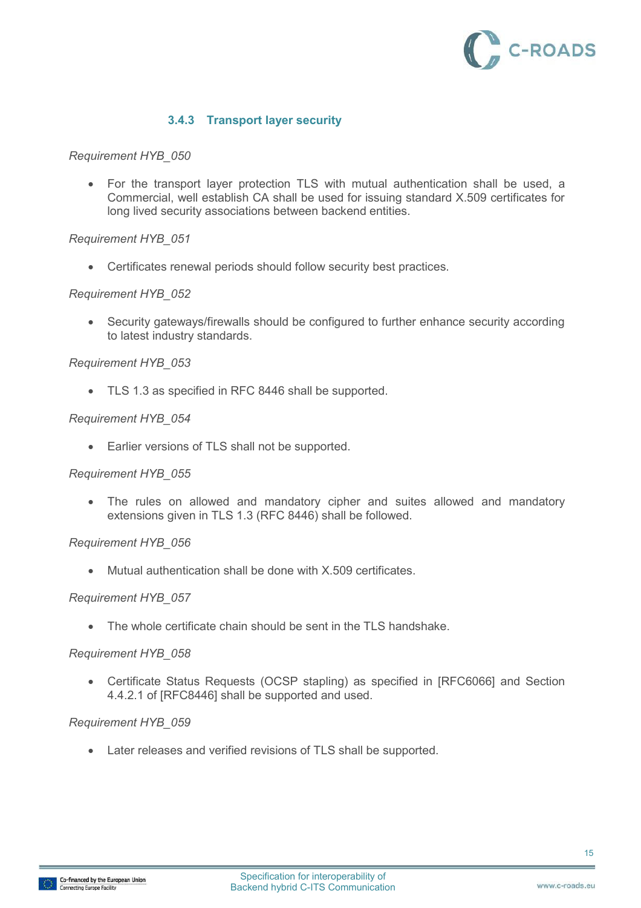

#### **3.4.3 Transport layer security**

#### *Requirement HYB\_050*

 For the transport layer protection TLS with mutual authentication shall be used, a Commercial, well establish CA shall be used for issuing standard X.509 certificates for long lived security associations between backend entities.

#### *Requirement HYB\_051*

Certificates renewal periods should follow security best practices.

#### *Requirement HYB\_052*

 Security gateways/firewalls should be configured to further enhance security according to latest industry standards.

#### *Requirement HYB\_053*

TLS 1.3 as specified in RFC 8446 shall be supported.

#### *Requirement HYB\_054*

Earlier versions of TLS shall not be supported.

#### *Requirement HYB\_055*

 The rules on allowed and mandatory cipher and suites allowed and mandatory extensions given in TLS 1.3 (RFC 8446) shall be followed.

#### *Requirement HYB\_056*

Mutual authentication shall be done with X.509 certificates.

#### *Requirement HYB\_057*

• The whole certificate chain should be sent in the TLS handshake.

#### *Requirement HYB\_058*

 Certificate Status Requests (OCSP stapling) as specified in [RFC6066] and Section 4.4.2.1 of [RFC8446] shall be supported and used.

#### *Requirement HYB\_059*

Later releases and verified revisions of TLS shall be supported.

15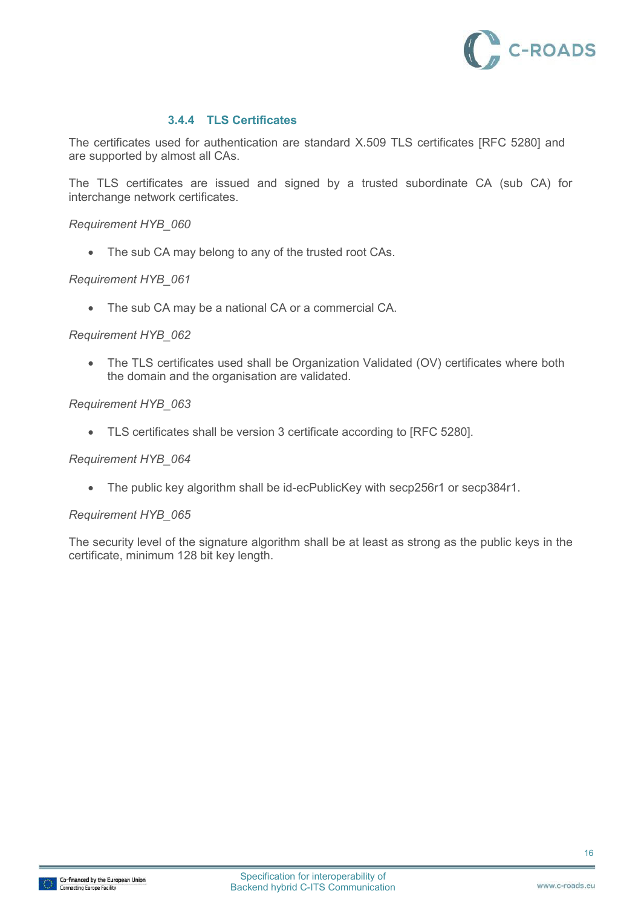

#### **3.4.4 TLS Certificates**

The certificates used for authentication are standard X.509 TLS certificates [RFC 5280] and are supported by almost all CAs.

The TLS certificates are issued and signed by a trusted subordinate CA (sub CA) for interchange network certificates.

#### *Requirement HYB\_060*

• The sub CA may belong to any of the trusted root CAs.

#### *Requirement HYB\_061*

The sub CA may be a national CA or a commercial CA.

#### *Requirement HYB\_062*

• The TLS certificates used shall be Organization Validated (OV) certificates where both the domain and the organisation are validated.

#### *Requirement HYB\_063*

TLS certificates shall be version 3 certificate according to [RFC 5280].

#### *Requirement HYB\_064*

The public key algorithm shall be id-ecPublicKey with secp256r1 or secp384r1.

#### *Requirement HYB\_065*

The security level of the signature algorithm shall be at least as strong as the public keys in the certificate, minimum 128 bit key length.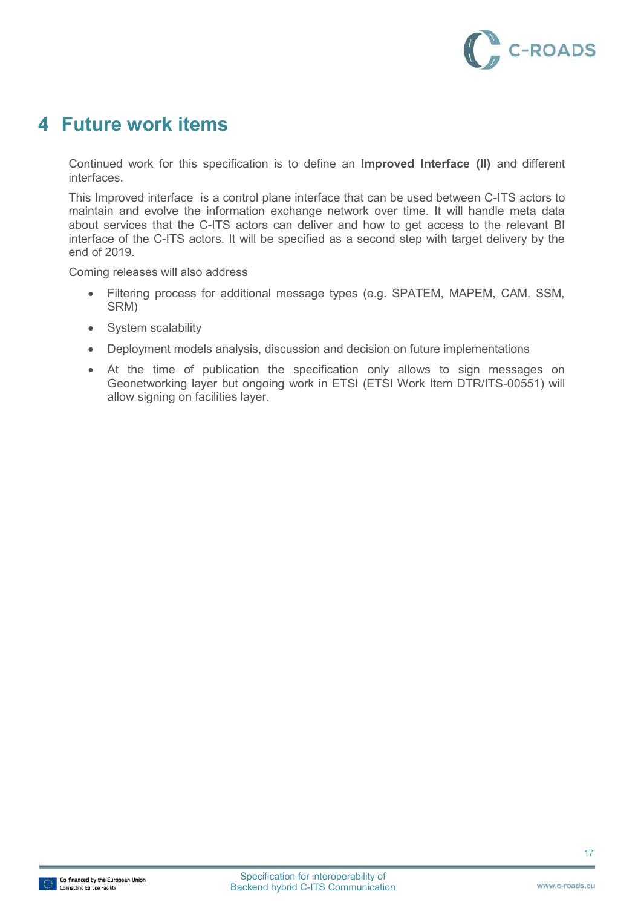

## **4 Future work items**

Continued work for this specification is to define an **Improved Interface (II)** and different interfaces.

This Improved interface is a control plane interface that can be used between C-ITS actors to maintain and evolve the information exchange network over time. It will handle meta data about services that the C-ITS actors can deliver and how to get access to the relevant BI interface of the C-ITS actors. It will be specified as a second step with target delivery by the end of 2019.

Coming releases will also address

- Filtering process for additional message types (e.g. SPATEM, MAPEM, CAM, SSM, SRM)
- System scalability
- Deployment models analysis, discussion and decision on future implementations
- At the time of publication the specification only allows to sign messages on Geonetworking layer but ongoing work in ETSI (ETSI Work Item DTR/ITS-00551) will allow signing on facilities layer.